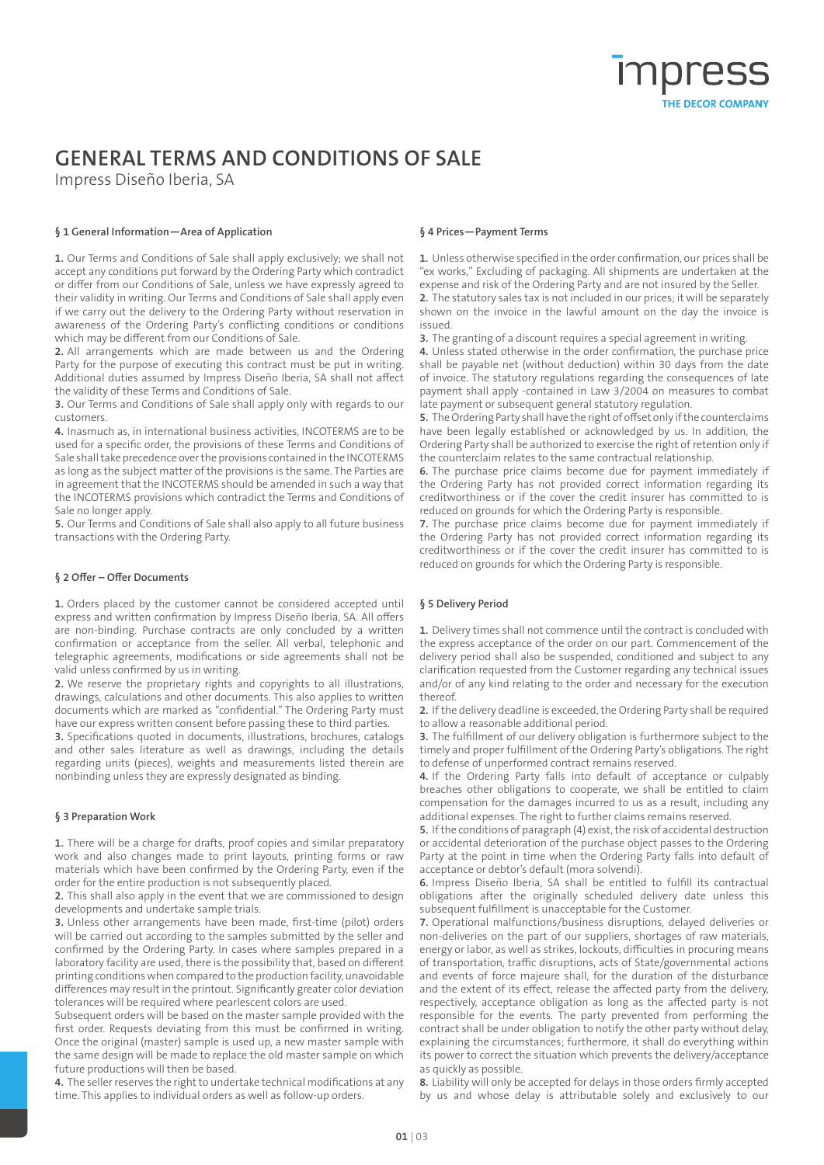### **GENERAL TERMS AND CONDITIONS OF SALE**

Impress Diseño Iberia, SA

### **§ 1 General Information—Area of Application**

**1.** Our Terms and Conditions of Sale shall apply exclusively; we shall not accept any conditions put forward by the Ordering Party which contradict or differ from our Conditions of Sale, unless we have expressly agreed to their validity in writing. Our Terms and Conditions of Sale shall apply even if we carry out the delivery to the Ordering Party without reservation in awareness of the Ordering Party's conflicting conditions or conditions which may be different from our Conditions of Sale.

**2.** All arrangements which are made between us and the Ordering Party for the purpose of executing this contract must be put in writing. Additional duties assumed by Impress Diseño Iberia, SA shall not affect the validity of these Terms and Conditions of Sale.

**3.** Our Terms and Conditions of Sale shall apply only with regards to our customers.

**4.** Inasmuch as, in international business activities, INCOTERMS are to be used for a specific order, the provisions of these Terms and Conditions of Sale shall take precedence over the provisions contained in the INCOTERMS as long as the subject matter of the provisions is the same. The Parties are in agreement that the INCOTERMS should be amended in such a way that the INCOTERMS provisions which contradict the Terms and Conditions of Sale no longer apply.

**5.** Our Terms and Conditions of Sale shall also apply to all future business transactions with the Ordering Party.

#### **§ 2 Offer – Offer Documents**

**1.** Orders placed by the customer cannot be considered accepted until express and written confirmation by Impress Diseño Iberia, SA. All offers are non-binding. Purchase contracts are only concluded by a written confirmation or acceptance from the seller. All verbal, telephonic and telegraphic agreements, modifications or side agreements shall not be valid unless confirmed by us in writing.

**2.** We reserve the proprietary rights and copyrights to all illustrations, drawings, calculations and other documents. This also applies to written documents which are marked as "confidential." The Ordering Party must have our express written consent before passing these to third parties.

**3.** Specifications quoted in documents, illustrations, brochures, catalogs and other sales literature as well as drawings, including the details regarding units (pieces), weights and measurements listed therein are nonbinding unless they are expressly designated as binding.

#### **§ 3 Preparation Work**

**1.** There will be a charge for drafts, proof copies and similar preparatory work and also changes made to print layouts, printing forms or raw materials which have been confirmed by the Ordering Party, even if the order for the entire production is not subsequently placed.

**2.** This shall also apply in the event that we are commissioned to design developments and undertake sample trials.

**3.** Unless other arrangements have been made, first-time (pilot) orders will be carried out according to the samples submitted by the seller and confirmed by the Ordering Party. In cases where samples prepared in a laboratory facility are used, there is the possibility that, based on different printing conditions when compared to the production facility, unavoidable differences may result in the printout. Significantly greater color deviation tolerances will be required where pearlescent colors are used.

Subsequent orders will be based on the master sample provided with the first order. Requests deviating from this must be confirmed in writing. Once the original (master) sample is used up, a new master sample with the same design will be made to replace the old master sample on which future productions will then be based.

**4.** The seller reserves the right to undertake technical modifications at any time. This applies to individual orders as well as follow-up orders.

#### **§ 4 Prices—Payment Terms**

**1.** Unless otherwise specified in the order confirmation, our prices shall be "ex works," Excluding of packaging. All shipments are undertaken at the expense and risk of the Ordering Party and are not insured by the Seller. **2.** The statutory sales tax is not included in our prices; it will be separately shown on the invoice in the lawful amount on the day the invoice is issued.

**3.** The granting of a discount requires a special agreement in writing.

**4.** Unless stated otherwise in the order confirmation, the purchase price shall be payable net (without deduction) within 30 days from the date of invoice. The statutory regulations regarding the consequences of late payment shall apply -contained in Law 3/2004 on measures to combat late payment or subsequent general statutory regulation.

**5.** The Ordering Party shall have the right of offset only if the counterclaims have been legally established or acknowledged by us. In addition, the Ordering Party shall be authorized to exercise the right of retention only if the counterclaim relates to the same contractual relationship.

**6.** The purchase price claims become due for payment immediately if the Ordering Party has not provided correct information regarding its creditworthiness or if the cover the credit insurer has committed to is reduced on grounds for which the Ordering Party is responsible.

**7.** The purchase price claims become due for payment immediately if the Ordering Party has not provided correct information regarding its creditworthiness or if the cover the credit insurer has committed to is reduced on grounds for which the Ordering Party is responsible.

#### **§ 5 Delivery Period**

**1.** Delivery times shall not commence until the contract is concluded with the express acceptance of the order on our part. Commencement of the delivery period shall also be suspended, conditioned and subject to any clarification requested from the Customer regarding any technical issues and/or of any kind relating to the order and necessary for the execution thereof.

**2.** If the delivery deadline is exceeded, the Ordering Party shall be required to allow a reasonable additional period.

**3.** The fulfillment of our delivery obligation is furthermore subject to the timely and proper fulfillment of the Ordering Party's obligations. The right to defense of unperformed contract remains reserved.

**4.** If the Ordering Party falls into default of acceptance or culpably breaches other obligations to cooperate, we shall be entitled to claim compensation for the damages incurred to us as a result, including any additional expenses. The right to further claims remains reserved.

**5.** If the conditions of paragraph (4) exist, the risk of accidental destruction or accidental deterioration of the purchase object passes to the Ordering Party at the point in time when the Ordering Party falls into default of acceptance or debtor's default (mora solvendi).

**6.** Impress Diseño Iberia, SA shall be entitled to fulfill its contractual obligations after the originally scheduled delivery date unless this subsequent fulfillment is unacceptable for the Customer.

**7.** Operational malfunctions/business disruptions, delayed deliveries or non-deliveries on the part of our suppliers, shortages of raw materials, energy or labor, as well as strikes, lockouts, difficulties in procuring means of transportation, traffic disruptions, acts of State/governmental actions and events of force majeure shall, for the duration of the disturbance and the extent of its effect, release the affected party from the delivery, respectively, acceptance obligation as long as the affected party is not responsible for the events. The party prevented from performing the contract shall be under obligation to notify the other party without delay, explaining the circumstances; furthermore, it shall do everything within its power to correct the situation which prevents the delivery/acceptance as quickly as possible.

**8.** Liability will only be accepted for delays in those orders firmly accepted by us and whose delay is attributable solely and exclusively to our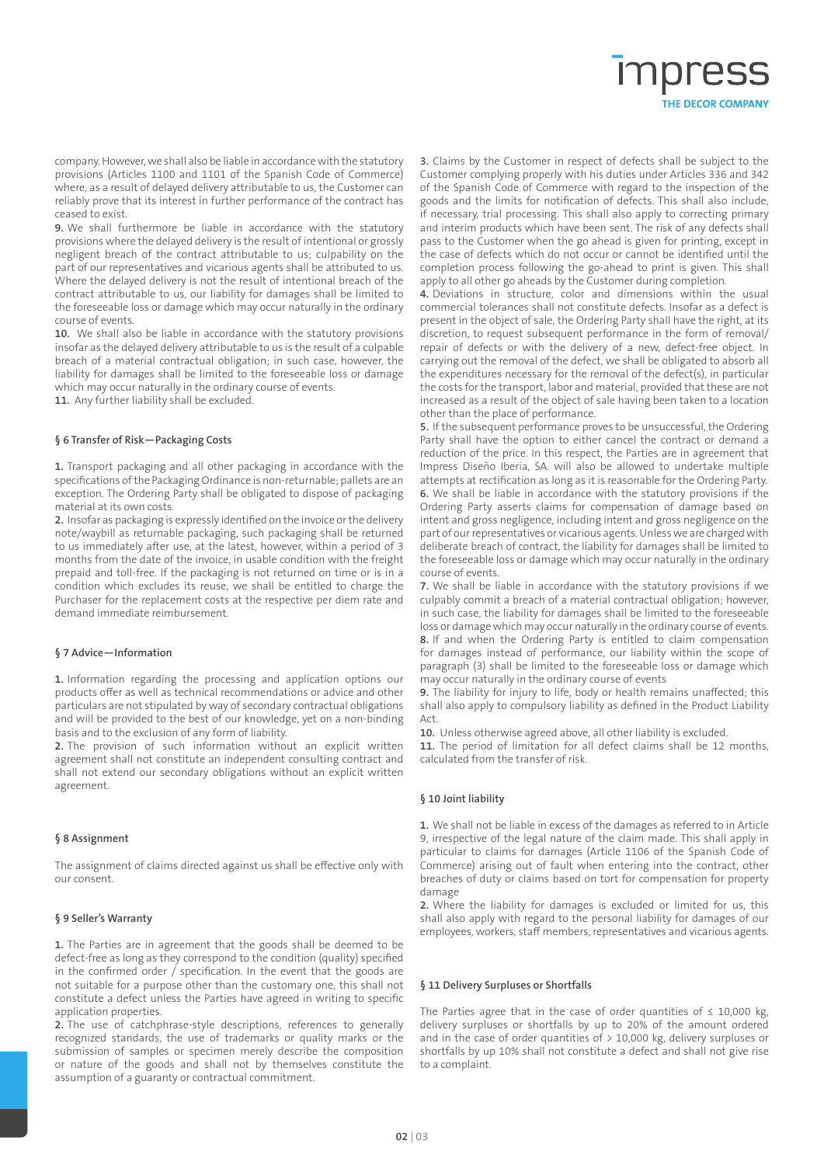# THE DECOR COMPANY

company. However, we shall also be liable in accordance with the statutory provisions (Articles 1100 and 1101 of the Spanish Code of Commerce) where, as a result of delayed delivery attributable to us, the Customer can reliably prove that its interest in further performance of the contract has ceased to exist.

**9.** We shall furthermore be liable in accordance with the statutory provisions where the delayed delivery is the result of intentional or grossly negligent breach of the contract attributable to us; culpability on the part of our representatives and vicarious agents shall be attributed to us. Where the delayed delivery is not the result of intentional breach of the contract attributable to us, our liability for damages shall be limited to the foreseeable loss or damage which may occur naturally in the ordinary course of events.

**10.** We shall also be liable in accordance with the statutory provisions insofar as the delayed delivery attributable to us is the result of a culpable breach of a material contractual obligation; in such case, however, the liability for damages shall be limited to the foreseeable loss or damage which may occur naturally in the ordinary course of events.

**11.** Any further liability shall be excluded.

#### **§ 6 Transfer of Risk—Packaging Costs**

**1.** Transport packaging and all other packaging in accordance with the specifications of the Packaging Ordinance is non-returnable; pallets are an exception. The Ordering Party shall be obligated to dispose of packaging material at its own costs.

**2.** Insofar as packaging is expressly identified on the invoice or the delivery note/waybill as returnable packaging, such packaging shall be returned to us immediately after use, at the latest, however, within a period of 3 months from the date of the invoice, in usable condition with the freight prepaid and toll-free. If the packaging is not returned on time or is in a condition which excludes its reuse, we shall be entitled to charge the Purchaser for the replacement costs at the respective per diem rate and demand immediate reimbursement.

#### **§ 7 Advice—Information**

**1.** Information regarding the processing and application options our products offer as well as technical recommendations or advice and other particulars are not stipulated by way of secondary contractual obligations and will be provided to the best of our knowledge, yet on a non-binding basis and to the exclusion of any form of liability.

**2.** The provision of such information without an explicit written agreement shall not constitute an independent consulting contract and shall not extend our secondary obligations without an explicit written agreement.

#### **§ 8 Assignment**

The assignment of claims directed against us shall be effective only with our consent.

#### **§ 9 Seller's Warranty**

**1.** The Parties are in agreement that the goods shall be deemed to be defect-free as long as they correspond to the condition (quality) specified in the confirmed order / specification. In the event that the goods are not suitable for a purpose other than the customary one, this shall not constitute a defect unless the Parties have agreed in writing to specific application properties.

**2.** The use of catchphrase-style descriptions, references to generally recognized standards, the use of trademarks or quality marks or the submission of samples or specimen merely describe the composition or nature of the goods and shall not by themselves constitute the assumption of a guaranty or contractual commitment.

**3.** Claims by the Customer in respect of defects shall be subject to the Customer complying properly with his duties under Articles 336 and 342 of the Spanish Code of Commerce with regard to the inspection of the goods and the limits for notification of defects. This shall also include, if necessary, trial processing. This shall also apply to correcting primary and interim products which have been sent. The risk of any defects shall pass to the Customer when the go ahead is given for printing, except in the case of defects which do not occur or cannot be identified until the completion process following the go-ahead to print is given. This shall apply to all other go aheads by the Customer during completion.

**4.** Deviations in structure, color and dimensions within the usual commercial tolerances shall not constitute defects. Insofar as a defect is present in the object of sale, the Ordering Party shall have the right, at its discretion, to request subsequent performance in the form of removal/ repair of defects or with the delivery of a new, defect-free object. In carrying out the removal of the defect, we shall be obligated to absorb all the expenditures necessary for the removal of the defect(s), in particular the costs for the transport, labor and material, provided that these are not increased as a result of the object of sale having been taken to a location other than the place of performance.

**5.** If the subsequent performance proves to be unsuccessful, the Ordering Party shall have the option to either cancel the contract or demand a reduction of the price. In this respect, the Parties are in agreement that Impress Diseño Iberia, SA. will also be allowed to undertake multiple attempts at rectification as long as it is reasonable for the Ordering Party. **6.** We shall be liable in accordance with the statutory provisions if the Ordering Party asserts claims for compensation of damage based on intent and gross negligence, including intent and gross negligence on the part of our representatives or vicarious agents. Unless we are charged with deliberate breach of contract, the liability for damages shall be limited to the foreseeable loss or damage which may occur naturally in the ordinary course of events.

**7.** We shall be liable in accordance with the statutory provisions if we culpably commit a breach of a material contractual obligation; however, in such case, the liability for damages shall be limited to the foreseeable loss or damage which may occur naturally in the ordinary course of events. **8.** If and when the Ordering Party is entitled to claim compensation for damages instead of performance, our liability within the scope of paragraph (3) shall be limited to the foreseeable loss or damage which may occur naturally in the ordinary course of events

**9.** The liability for injury to life, body or health remains unaffected; this shall also apply to compulsory liability as defined in the Product Liability Act.

**10.** Unless otherwise agreed above, all other liability is excluded.

**11.** The period of limitation for all defect claims shall be 12 months, calculated from the transfer of risk.

#### **§ 10 Joint liability**

**1.** We shall not be liable in excess of the damages as referred to in Article 9, irrespective of the legal nature of the claim made. This shall apply in particular to claims for damages (Article 1106 of the Spanish Code of Commerce) arising out of fault when entering into the contract, other breaches of duty or claims based on tort for compensation for property damage

**2.** Where the liability for damages is excluded or limited for us, this shall also apply with regard to the personal liability for damages of our employees, workers, staff members, representatives and vicarious agents.

#### **§ 11 Delivery Surpluses or Shortfalls**

The Parties agree that in the case of order quantities of  $\leq$  10,000 kg, delivery surpluses or shortfalls by up to 20% of the amount ordered and in the case of order quantities of  $>$  10,000 kg, delivery surpluses or shortfalls by up 10% shall not constitute a defect and shall not give rise to a complaint.